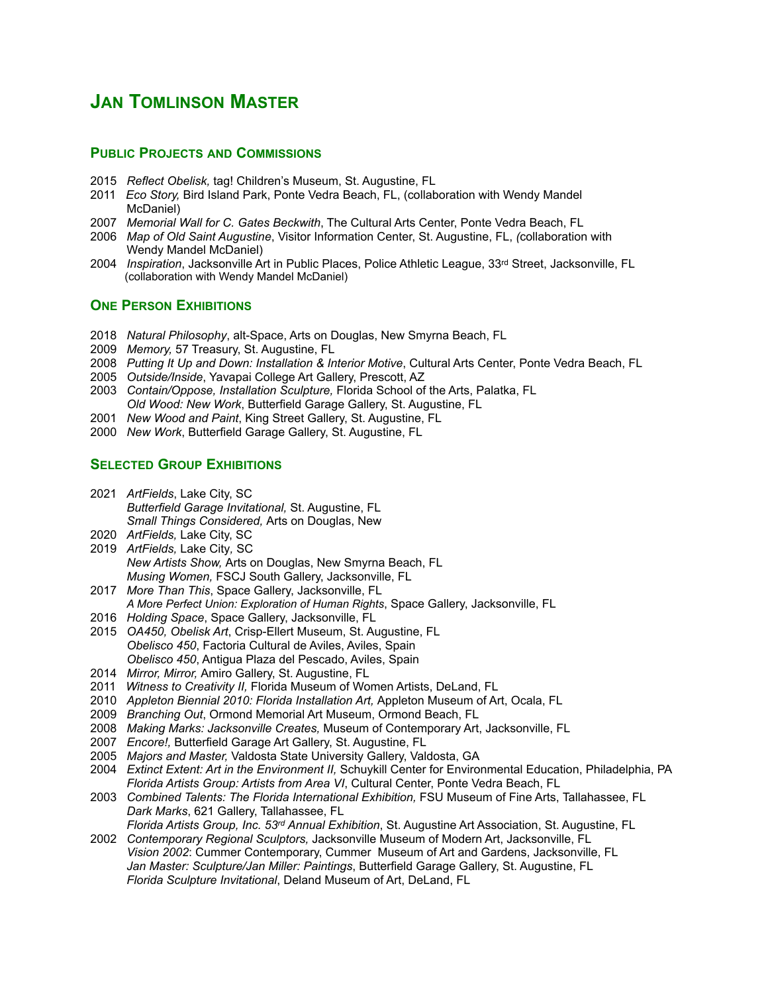# **JAN TOMLINSON MASTER**

#### **PUBLIC PROJECTS AND COMMISSIONS**

- 2015 *Reflect Obelisk,* tag! Children's Museum, St. Augustine, FL
- 2011 *Eco Story,* Bird Island Park, Ponte Vedra Beach, FL, (collaboration with Wendy Mandel McDaniel)
- 2007 *Memorial Wall for C. Gates Beckwith*, The Cultural Arts Center, Ponte Vedra Beach, FL
- 2006 *Map of Old Saint Augustine*, Visitor Information Center, St. Augustine, FL, *(*collaboration with **Wendy Mandel McDaniel)**
- 2004 *Inspiration*, Jacksonville Art in Public Places, Police Athletic League, 33rd Street, Jacksonville, FL (collaboration with Wendy Mandel McDaniel)

### **ONE PERSON EXHIBITIONS**

- 2018 *Natural Philosophy*, alt-Space, Arts on Douglas, New Smyrna Beach, FL
- 2009 *Memory,* 57 Treasury, St. Augustine, FL
- 2008 *Putting It Up and Down: Installation & Interior Motive*, Cultural Arts Center, Ponte Vedra Beach, FL
- 2005 *Outside/Inside*, Yavapai College Art Gallery, Prescott, AZ
- 2003 *Contain/Oppose, Installation Sculpture,* Florida School of the Arts, Palatka, FL  *Old Wood: New Work*, Butterfield Garage Gallery, St. Augustine, FL
- 2001 *New Wood and Paint*, King Street Gallery, St. Augustine, FL
- 2000 *New Work*, Butterfield Garage Gallery, St. Augustine, FL

## **SELECTED GROUP EXHIBITIONS**

- 2021 *ArtFields*, Lake City, SC *Butterfield Garage Invitational,* St. Augustine, FL *Small Things Considered,* Arts on Douglas, New 2020 *ArtFields,* Lake City, SC
- 2019 *ArtFields,* Lake City*,* SC *New Artists Show,* Arts on Douglas, New Smyrna Beach, FL *Musing Women,* FSCJ South Gallery, Jacksonville, FL
- 2017 *More Than This*, Space Gallery, Jacksonville, FL
	- *A More Perfect Union: Exploration of Human Rights*, Space Gallery, Jacksonville, FL
- 2016 *Holding Space*, Space Gallery, Jacksonville, FL
- 2015 *OA450, Obelisk Art*, Crisp-Ellert Museum, St. Augustine, FL *Obelisco 450*, Factoria Cultural de Aviles, Aviles, Spain *Obelisco 450*, Antigua Plaza del Pescado, Aviles, Spain
- 2014 *Mirror, Mirror,* Amiro Gallery, St. Augustine, FL
- 2011 *Witness to Creativity II,* Florida Museum of Women Artists, DeLand, FL
- 2010 *Appleton Biennial 2010: Florida Installation Art,* Appleton Museum of Art, Ocala, FL
- 2009 *Branching Out*, Ormond Memorial Art Museum, Ormond Beach, FL
- 2008 *Making Marks: Jacksonville Creates,* Museum of Contemporary Art, Jacksonville, FL
- 2007 *Encore!,* Butterfield Garage Art Gallery, St. Augustine, FL
- 2005 *Majors and Master,* Valdosta State University Gallery, Valdosta, GA
- 2004 *Extinct Extent: Art in the Environment II,* Schuykill Center for Environmental Education, Philadelphia, PA  *Florida Artists Group: Artists from Area VI*, Cultural Center, Ponte Vedra Beach, FL
- 2003 *Combined Talents: The Florida International Exhibition,* FSU Museum of Fine Arts, Tallahassee, FL  *Dark Marks*, 621 Gallery, Tallahassee, FL
- *Florida Artists Group, Inc. 53rd Annual Exhibition*, St. Augustine Art Association, St. Augustine, FL 2002 *Contemporary Regional Sculptors,* Jacksonville Museum of Modern Art, Jacksonville, FL
- *Vision 2002*: Cummer Contemporary, Cummer Museum of Art and Gardens, Jacksonville, FL *Jan Master: Sculpture/Jan Miller: Paintings*, Butterfield Garage Gallery, St. Augustine, FL *Florida Sculpture Invitational*, Deland Museum of Art, DeLand, FL